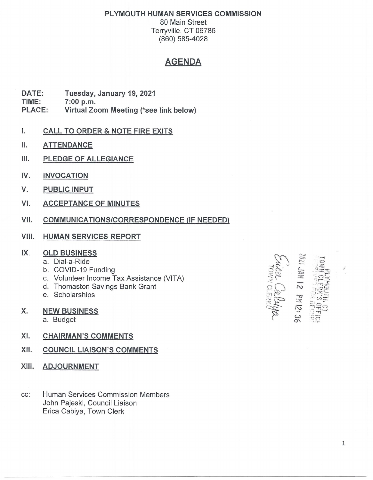## PLYMOUTH HUMAN SERVICES COMMISSION

80 Main Street Terryville, CT 06786 (860) 585-4028

## AGENDA

DATE: Tuesday, January 19, 2021 TIME: 7:00 p.m. PLACE: Virtual Zoom Meeting (\*see link below)

- I. CALL TO ORDER & NOTE FIRE EXITS
- II. ATTENDANCE
- III. PLEDGE OF ALLEGIANCE
- IV. INVOCATION
- V. PUBLIC INPUT
- VI. ACCEPTANCE OF MINUTES
- VII. COMMUNICATIONS/CORRESPONDENCE (IF NEEDED)
- **VIII. HUMAN SERVICES REPORT**

## IX. OLD BUSINESS

- a. Dial-a-Ride
- b. COVID-19 Funding
- c. Volunteer Income Tax Assistance (VITA)
- d. Thomaston Savings Bank Grant
- e. Scholarships
- x. NEW BUSINESS
	- a. Budget
- XI. CHAIRMAN'S COMMENTS
- XII. COUNCIL LIAISON'S COMMENTS
- XIII. ADJOURNMENT
- cc: Human Services Commission Members John Pajeski, Council Liaison Erica Cabiya, Town Clerk

**21 Md 21 MM**